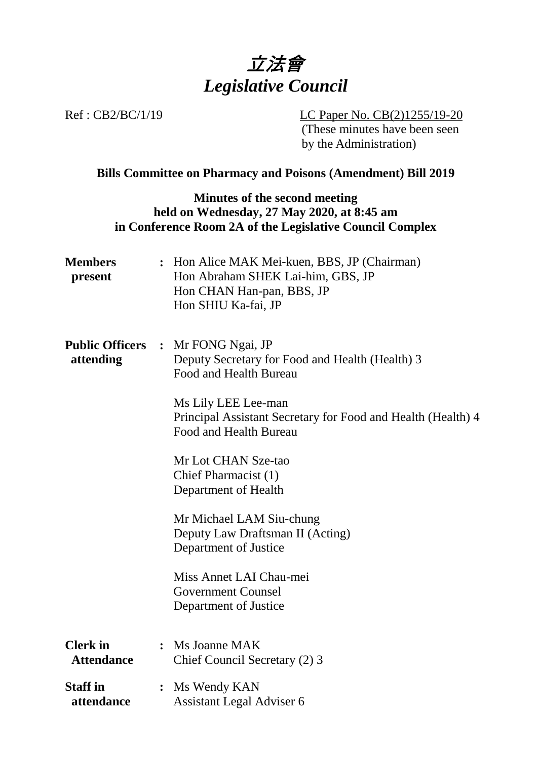

Ref : CB2/BC/1/19 LC Paper No. CB(2)1255/19-20 (These minutes have been seen by the Administration)

#### **Bills Committee on Pharmacy and Poisons (Amendment) Bill 2019**

## **Minutes of the second meeting held on Wednesday, 27 May 2020, at 8:45 am in Conference Room 2A of the Legislative Council Complex**

| <b>Members</b><br>present            |                | : Hon Alice MAK Mei-kuen, BBS, JP (Chairman)<br>Hon Abraham SHEK Lai-him, GBS, JP<br>Hon CHAN Han-pan, BBS, JP<br>Hon SHIU Ka-fai, JP                                                                                                                                                                                                                                                                                                                             |
|--------------------------------------|----------------|-------------------------------------------------------------------------------------------------------------------------------------------------------------------------------------------------------------------------------------------------------------------------------------------------------------------------------------------------------------------------------------------------------------------------------------------------------------------|
| <b>Public Officers</b><br>attending  |                | : Mr FONG Ngai, JP<br>Deputy Secretary for Food and Health (Health) 3<br>Food and Health Bureau<br>Ms Lily LEE Lee-man<br>Principal Assistant Secretary for Food and Health (Health) 4<br>Food and Health Bureau<br>Mr Lot CHAN Sze-tao<br>Chief Pharmacist (1)<br>Department of Health<br>Mr Michael LAM Siu-chung<br>Deputy Law Draftsman II (Acting)<br>Department of Justice<br>Miss Annet LAI Chau-mei<br><b>Government Counsel</b><br>Department of Justice |
| <b>Clerk</b> in<br><b>Attendance</b> |                | : Ms Joanne MAK<br>Chief Council Secretary (2) 3                                                                                                                                                                                                                                                                                                                                                                                                                  |
| <b>Staff in</b><br>attendance        | $\ddot{\cdot}$ | Ms Wendy KAN<br><b>Assistant Legal Adviser 6</b>                                                                                                                                                                                                                                                                                                                                                                                                                  |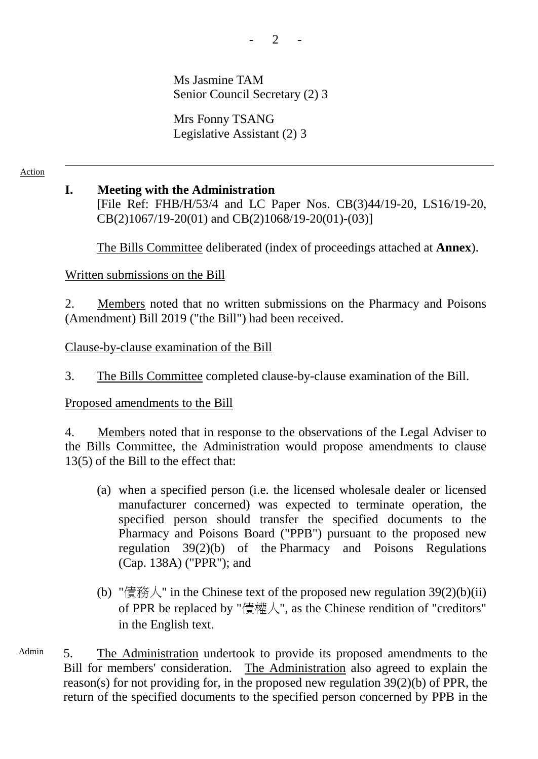Ms Jasmine TAM Senior Council Secretary (2) 3

Mrs Fonny TSANG Legislative Assistant (2) 3

Action

### **I. Meeting with the Administration**

[File Ref: FHB/H/53/4 and LC Paper Nos. CB(3)44/19-20, LS16/19-20, CB(2)1067/19-20(01) and CB(2)1068/19-20(01)-(03)]

1. The Bills Committee deliberated (index of proceedings attached at **Annex**).

Written submissions on the Bill

2. Members noted that no written submissions on the Pharmacy and Poisons (Amendment) Bill 2019 ("the Bill") had been received.

Clause-by-clause examination of the Bill

3. The Bills Committee completed clause-by-clause examination of the Bill.

#### Proposed amendments to the Bill

4. Members noted that in response to the observations of the Legal Adviser to the Bills Committee, the Administration would propose amendments to clause 13(5) of the Bill to the effect that:

- (a) when a specified person (i.e. the licensed wholesale dealer or licensed manufacturer concerned) was expected to terminate operation, the specified person should transfer the specified documents to the Pharmacy and Poisons Board ("PPB") pursuant to the proposed new regulation 39(2)(b) of the Pharmacy and Poisons Regulations (Cap. 138A) ("PPR"); and
- (b) "債務人" in the Chinese text of the proposed new regulation  $39(2)(b)(ii)$ of PPR be replaced by "債權人", as the Chinese rendition of "creditors" in the English text.
- Admin 5. The Administration undertook to provide its proposed amendments to the Bill for members' consideration. The Administration also agreed to explain the reason(s) for not providing for, in the proposed new regulation 39(2)(b) of PPR, the return of the specified documents to the specified person concerned by PPB in the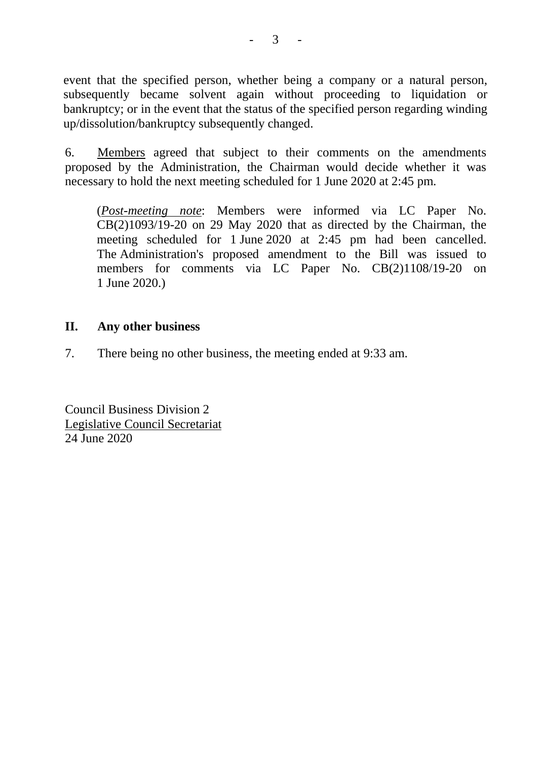event that the specified person, whether being a company or a natural person, subsequently became solvent again without proceeding to liquidation or bankruptcy; or in the event that the status of the specified person regarding winding up/dissolution/bankruptcy subsequently changed.

6. Members agreed that subject to their comments on the amendments proposed by the Administration, the Chairman would decide whether it was necessary to hold the next meeting scheduled for 1 June 2020 at 2:45 pm.

(*Post-meeting note*: Members were informed via LC Paper No. CB(2)1093/19-20 on 29 May 2020 that as directed by the Chairman, the meeting scheduled for 1 June 2020 at 2:45 pm had been cancelled. The Administration's proposed amendment to the Bill was issued to members for comments via LC Paper No. CB(2)1108/19-20 on 1 June 2020.)

## **II. Any other business**

7. There being no other business, the meeting ended at 9:33 am.

Council Business Division 2 Legislative Council Secretariat 24 June 2020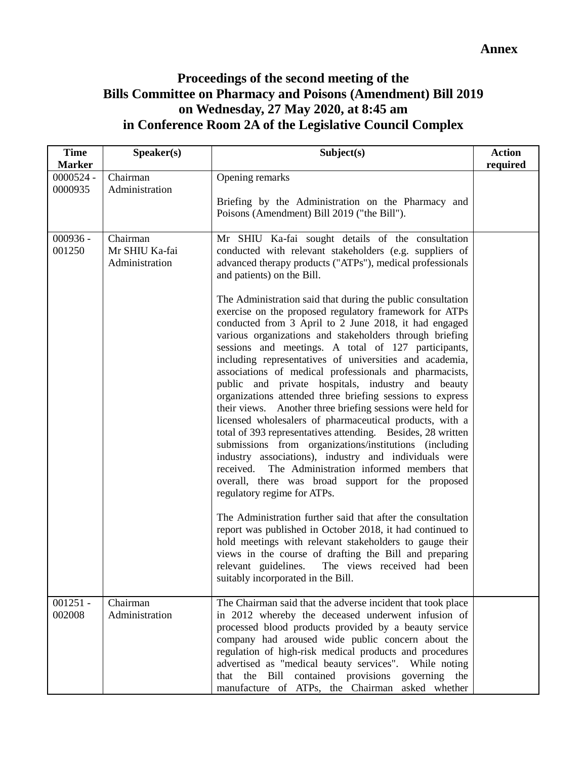# **Proceedings of the second meeting of the Bills Committee on Pharmacy and Poisons (Amendment) Bill 2019 on Wednesday, 27 May 2020, at 8:45 am in Conference Room 2A of the Legislative Council Complex**

| <b>Time</b><br><b>Marker</b> | Speaker(s)                                   | Subject(s)                                                                                                                                                                                                                                                                                                                                                                                                                                                                                                                                                                                                                                                                                                                                                                                                                                                                                                                                                                                                                                                                                                                                                                                                                                                                                                                                                                                                                                                                                                                                         | <b>Action</b><br>required |
|------------------------------|----------------------------------------------|----------------------------------------------------------------------------------------------------------------------------------------------------------------------------------------------------------------------------------------------------------------------------------------------------------------------------------------------------------------------------------------------------------------------------------------------------------------------------------------------------------------------------------------------------------------------------------------------------------------------------------------------------------------------------------------------------------------------------------------------------------------------------------------------------------------------------------------------------------------------------------------------------------------------------------------------------------------------------------------------------------------------------------------------------------------------------------------------------------------------------------------------------------------------------------------------------------------------------------------------------------------------------------------------------------------------------------------------------------------------------------------------------------------------------------------------------------------------------------------------------------------------------------------------------|---------------------------|
| 0000524 -<br>0000935         | Chairman<br>Administration                   | Opening remarks<br>Briefing by the Administration on the Pharmacy and<br>Poisons (Amendment) Bill 2019 ("the Bill").                                                                                                                                                                                                                                                                                                                                                                                                                                                                                                                                                                                                                                                                                                                                                                                                                                                                                                                                                                                                                                                                                                                                                                                                                                                                                                                                                                                                                               |                           |
| $000936 -$<br>001250         | Chairman<br>Mr SHIU Ka-fai<br>Administration | Mr SHIU Ka-fai sought details of the consultation<br>conducted with relevant stakeholders (e.g. suppliers of<br>advanced therapy products ("ATPs"), medical professionals<br>and patients) on the Bill.<br>The Administration said that during the public consultation<br>exercise on the proposed regulatory framework for ATPs<br>conducted from 3 April to 2 June 2018, it had engaged<br>various organizations and stakeholders through briefing<br>sessions and meetings. A total of 127 participants,<br>including representatives of universities and academia,<br>associations of medical professionals and pharmacists,<br>public and private hospitals, industry and beauty<br>organizations attended three briefing sessions to express<br>their views. Another three briefing sessions were held for<br>licensed wholesalers of pharmaceutical products, with a<br>total of 393 representatives attending. Besides, 28 written<br>submissions from organizations/institutions (including<br>industry associations), industry and individuals were<br>received. The Administration informed members that<br>overall, there was broad support for the proposed<br>regulatory regime for ATPs.<br>The Administration further said that after the consultation<br>report was published in October 2018, it had continued to<br>hold meetings with relevant stakeholders to gauge their<br>views in the course of drafting the Bill and preparing<br>relevant guidelines. The views received had been<br>suitably incorporated in the Bill. |                           |
| $001251 -$<br>002008         | Chairman<br>Administration                   | The Chairman said that the adverse incident that took place<br>in 2012 whereby the deceased underwent infusion of<br>processed blood products provided by a beauty service<br>company had aroused wide public concern about the<br>regulation of high-risk medical products and procedures<br>advertised as "medical beauty services". While noting<br>that the Bill<br>contained provisions governing the<br>manufacture of ATPs, the Chairman asked whether                                                                                                                                                                                                                                                                                                                                                                                                                                                                                                                                                                                                                                                                                                                                                                                                                                                                                                                                                                                                                                                                                      |                           |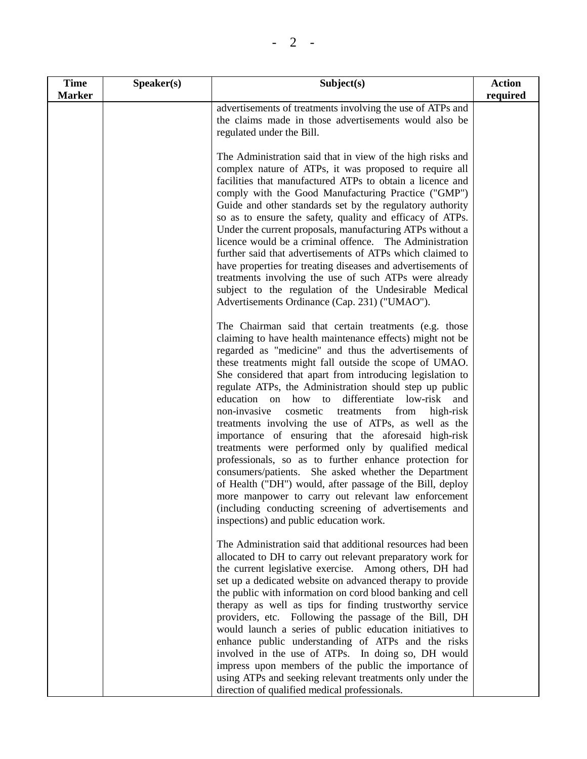| <b>Time</b>   | Speaker(s) | Subject(s)                                                                                                                                                                                                                                                                                                                                                                                                                                                                                                                                                                                                                                                                                                                                                                                                                                                                                                                                                                                                 | <b>Action</b> |
|---------------|------------|------------------------------------------------------------------------------------------------------------------------------------------------------------------------------------------------------------------------------------------------------------------------------------------------------------------------------------------------------------------------------------------------------------------------------------------------------------------------------------------------------------------------------------------------------------------------------------------------------------------------------------------------------------------------------------------------------------------------------------------------------------------------------------------------------------------------------------------------------------------------------------------------------------------------------------------------------------------------------------------------------------|---------------|
| <b>Marker</b> |            |                                                                                                                                                                                                                                                                                                                                                                                                                                                                                                                                                                                                                                                                                                                                                                                                                                                                                                                                                                                                            | required      |
|               |            | advertisements of treatments involving the use of ATPs and<br>the claims made in those advertisements would also be<br>regulated under the Bill.                                                                                                                                                                                                                                                                                                                                                                                                                                                                                                                                                                                                                                                                                                                                                                                                                                                           |               |
|               |            | The Administration said that in view of the high risks and<br>complex nature of ATPs, it was proposed to require all<br>facilities that manufactured ATPs to obtain a licence and<br>comply with the Good Manufacturing Practice ("GMP")<br>Guide and other standards set by the regulatory authority<br>so as to ensure the safety, quality and efficacy of ATPs.<br>Under the current proposals, manufacturing ATPs without a<br>licence would be a criminal offence. The Administration<br>further said that advertisements of ATPs which claimed to<br>have properties for treating diseases and advertisements of<br>treatments involving the use of such ATPs were already<br>subject to the regulation of the Undesirable Medical<br>Advertisements Ordinance (Cap. 231) ("UMAO").                                                                                                                                                                                                                  |               |
|               |            | The Chairman said that certain treatments (e.g. those<br>claiming to have health maintenance effects) might not be<br>regarded as "medicine" and thus the advertisements of<br>these treatments might fall outside the scope of UMAO.<br>She considered that apart from introducing legislation to<br>regulate ATPs, the Administration should step up public<br>education on<br>how to<br>differentiate<br>low-risk<br>and<br>non-invasive<br>cosmetic<br>from<br>treatments<br>high-risk<br>treatments involving the use of ATPs, as well as the<br>importance of ensuring that the aforesaid high-risk<br>treatments were performed only by qualified medical<br>professionals, so as to further enhance protection for<br>consumers/patients. She asked whether the Department<br>of Health ("DH") would, after passage of the Bill, deploy<br>more manpower to carry out relevant law enforcement<br>(including conducting screening of advertisements and<br>inspections) and public education work. |               |
|               |            | The Administration said that additional resources had been<br>allocated to DH to carry out relevant preparatory work for<br>the current legislative exercise. Among others, DH had<br>set up a dedicated website on advanced therapy to provide<br>the public with information on cord blood banking and cell<br>therapy as well as tips for finding trustworthy service<br>providers, etc. Following the passage of the Bill, DH<br>would launch a series of public education initiatives to<br>enhance public understanding of ATPs and the risks<br>involved in the use of ATPs. In doing so, DH would<br>impress upon members of the public the importance of<br>using ATPs and seeking relevant treatments only under the<br>direction of qualified medical professionals.                                                                                                                                                                                                                            |               |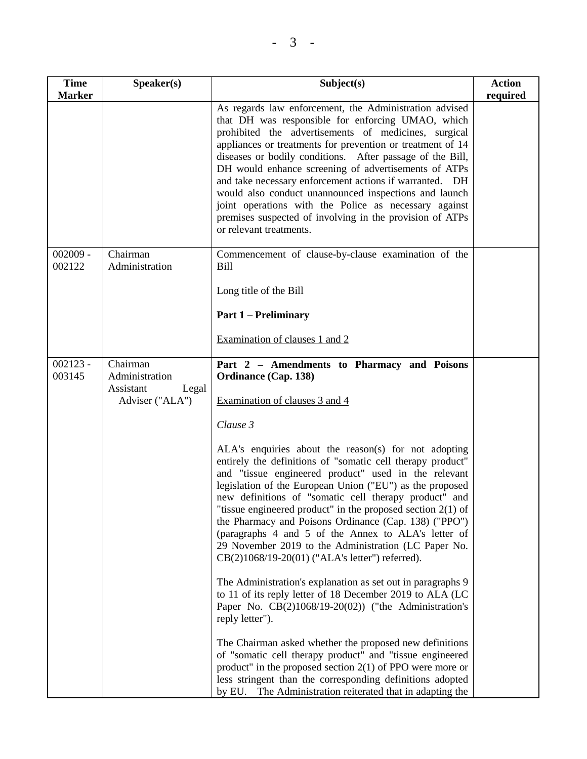| <b>Time</b><br><b>Marker</b> | Speaker(s)                                                          | Subject(s)                                                                                                                                                                                                                                                                                                                                                                                                                                                                                                                                                                                                                 | <b>Action</b><br>required |
|------------------------------|---------------------------------------------------------------------|----------------------------------------------------------------------------------------------------------------------------------------------------------------------------------------------------------------------------------------------------------------------------------------------------------------------------------------------------------------------------------------------------------------------------------------------------------------------------------------------------------------------------------------------------------------------------------------------------------------------------|---------------------------|
|                              |                                                                     | As regards law enforcement, the Administration advised<br>that DH was responsible for enforcing UMAO, which<br>prohibited the advertisements of medicines, surgical<br>appliances or treatments for prevention or treatment of 14<br>diseases or bodily conditions. After passage of the Bill,<br>DH would enhance screening of advertisements of ATPs<br>and take necessary enforcement actions if warranted. DH<br>would also conduct unannounced inspections and launch<br>joint operations with the Police as necessary against<br>premises suspected of involving in the provision of ATPs<br>or relevant treatments. |                           |
| $002009 -$<br>002122         | Chairman<br>Administration                                          | Commencement of clause-by-clause examination of the<br><b>Bill</b>                                                                                                                                                                                                                                                                                                                                                                                                                                                                                                                                                         |                           |
|                              |                                                                     | Long title of the Bill                                                                                                                                                                                                                                                                                                                                                                                                                                                                                                                                                                                                     |                           |
|                              |                                                                     | <b>Part 1 – Preliminary</b>                                                                                                                                                                                                                                                                                                                                                                                                                                                                                                                                                                                                |                           |
|                              |                                                                     | Examination of clauses 1 and 2                                                                                                                                                                                                                                                                                                                                                                                                                                                                                                                                                                                             |                           |
| $002123 -$<br>003145         | Chairman<br>Administration<br>Assistant<br>Legal<br>Adviser ("ALA") | Part 2 - Amendments to Pharmacy and Poisons<br><b>Ordinance (Cap. 138)</b><br>Examination of clauses 3 and 4                                                                                                                                                                                                                                                                                                                                                                                                                                                                                                               |                           |
|                              |                                                                     | Clause 3                                                                                                                                                                                                                                                                                                                                                                                                                                                                                                                                                                                                                   |                           |
|                              |                                                                     | ALA's enquiries about the reason(s) for not adopting<br>entirely the definitions of "somatic cell therapy product"<br>and "tissue engineered product" used in the relevant<br>legislation of the European Union ("EU") as the proposed<br>new definitions of "somatic cell therapy product" and<br>"tissue engineered product" in the proposed section $2(1)$ of<br>the Pharmacy and Poisons Ordinance (Cap. 138) ("PPO")<br>(paragraphs 4 and 5 of the Annex to ALA's letter of<br>29 November 2019 to the Administration (LC Paper No.<br>CB(2)1068/19-20(01) ("ALA's letter") referred).                                |                           |
|                              |                                                                     | The Administration's explanation as set out in paragraphs 9<br>to 11 of its reply letter of 18 December 2019 to ALA (LC<br>Paper No. $CB(2)1068/19-20(02))$ ("the Administration's<br>reply letter").                                                                                                                                                                                                                                                                                                                                                                                                                      |                           |
|                              |                                                                     | The Chairman asked whether the proposed new definitions<br>of "somatic cell therapy product" and "tissue engineered<br>product" in the proposed section $2(1)$ of PPO were more or<br>less stringent than the corresponding definitions adopted<br>by EU. The Administration reiterated that in adapting the                                                                                                                                                                                                                                                                                                               |                           |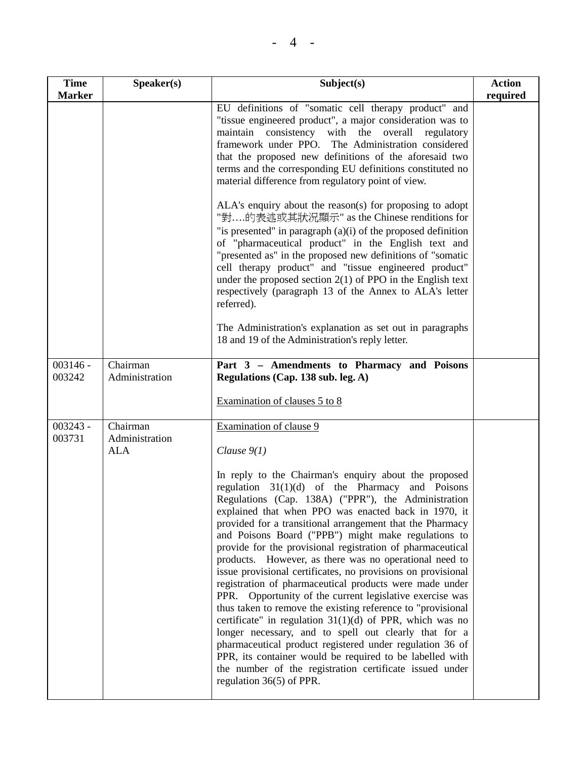| <b>Time</b><br><b>Marker</b> | Speaker(s)                               | Subject(s)                                                                                                                                                                                                                                                                                                                                                                                                                                                                                                                                                                                                                                           | <b>Action</b><br>required |
|------------------------------|------------------------------------------|------------------------------------------------------------------------------------------------------------------------------------------------------------------------------------------------------------------------------------------------------------------------------------------------------------------------------------------------------------------------------------------------------------------------------------------------------------------------------------------------------------------------------------------------------------------------------------------------------------------------------------------------------|---------------------------|
|                              |                                          | EU definitions of "somatic cell therapy product" and<br>"tissue engineered product", a major consideration was to<br>maintain consistency with the overall<br>regulatory<br>framework under PPO. The Administration considered<br>that the proposed new definitions of the aforesaid two<br>terms and the corresponding EU definitions constituted no<br>material difference from regulatory point of view.                                                                                                                                                                                                                                          |                           |
|                              |                                          | ALA's enquiry about the reason(s) for proposing to adopt<br>"對的表述或其狀況顯示" as the Chinese renditions for<br>"is presented" in paragraph $(a)(i)$ of the proposed definition<br>of "pharmaceutical product" in the English text and<br>"presented as" in the proposed new definitions of "somatic<br>cell therapy product" and "tissue engineered product"<br>under the proposed section $2(1)$ of PPO in the English text<br>respectively (paragraph 13 of the Annex to ALA's letter<br>referred).                                                                                                                                                     |                           |
|                              |                                          | The Administration's explanation as set out in paragraphs<br>18 and 19 of the Administration's reply letter.                                                                                                                                                                                                                                                                                                                                                                                                                                                                                                                                         |                           |
| $003146 -$<br>003242         | Chairman<br>Administration               | Part 3 - Amendments to Pharmacy and Poisons<br>Regulations (Cap. 138 sub. leg. A)                                                                                                                                                                                                                                                                                                                                                                                                                                                                                                                                                                    |                           |
|                              |                                          | Examination of clauses 5 to 8                                                                                                                                                                                                                                                                                                                                                                                                                                                                                                                                                                                                                        |                           |
| $003243 -$<br>003731         | Chairman<br>Administration<br><b>ALA</b> | Examination of clause 9<br>Clause $9(1)$<br>In reply to the Chairman's enquiry about the proposed<br>regulation $31(1)(d)$ of the Pharmacy and Poisons<br>Regulations (Cap. 138A) ("PPR"), the Administration<br>explained that when PPO was enacted back in 1970, it<br>provided for a transitional arrangement that the Pharmacy<br>and Poisons Board ("PPB") might make regulations to<br>provide for the provisional registration of pharmaceutical                                                                                                                                                                                              |                           |
|                              |                                          | products. However, as there was no operational need to<br>issue provisional certificates, no provisions on provisional<br>registration of pharmaceutical products were made under<br>PPR. Opportunity of the current legislative exercise was<br>thus taken to remove the existing reference to "provisional<br>certificate" in regulation $31(1)(d)$ of PPR, which was no<br>longer necessary, and to spell out clearly that for a<br>pharmaceutical product registered under regulation 36 of<br>PPR, its container would be required to be labelled with<br>the number of the registration certificate issued under<br>regulation $36(5)$ of PPR. |                           |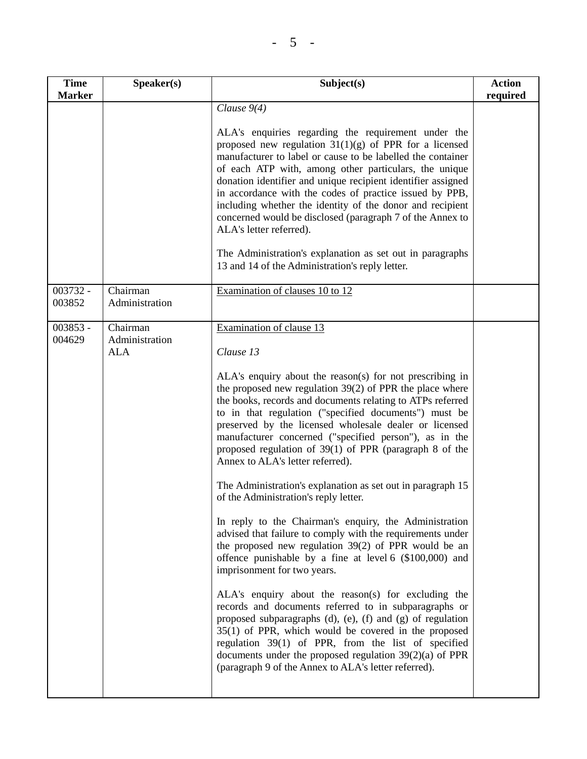| <b>Time</b><br><b>Marker</b> | Speaker(s)                 | Subject(s)                                                                                                                                                                                                                                                                                                                                                                                                                                                                                                              | <b>Action</b><br>required |
|------------------------------|----------------------------|-------------------------------------------------------------------------------------------------------------------------------------------------------------------------------------------------------------------------------------------------------------------------------------------------------------------------------------------------------------------------------------------------------------------------------------------------------------------------------------------------------------------------|---------------------------|
|                              |                            | Clause $9(4)$                                                                                                                                                                                                                                                                                                                                                                                                                                                                                                           |                           |
|                              |                            | ALA's enquiries regarding the requirement under the<br>proposed new regulation $31(1)(g)$ of PPR for a licensed<br>manufacturer to label or cause to be labelled the container<br>of each ATP with, among other particulars, the unique<br>donation identifier and unique recipient identifier assigned<br>in accordance with the codes of practice issued by PPB,<br>including whether the identity of the donor and recipient<br>concerned would be disclosed (paragraph 7 of the Annex to<br>ALA's letter referred). |                           |
|                              |                            | The Administration's explanation as set out in paragraphs<br>13 and 14 of the Administration's reply letter.                                                                                                                                                                                                                                                                                                                                                                                                            |                           |
| 003732 -<br>003852           | Chairman<br>Administration | Examination of clauses 10 to 12                                                                                                                                                                                                                                                                                                                                                                                                                                                                                         |                           |
| $003853 -$<br>004629         | Chairman<br>Administration | Examination of clause 13                                                                                                                                                                                                                                                                                                                                                                                                                                                                                                |                           |
|                              | <b>ALA</b>                 | Clause 13                                                                                                                                                                                                                                                                                                                                                                                                                                                                                                               |                           |
|                              |                            | ALA's enquiry about the reason(s) for not prescribing in<br>the proposed new regulation $39(2)$ of PPR the place where<br>the books, records and documents relating to ATPs referred<br>to in that regulation ("specified documents") must be<br>preserved by the licensed wholesale dealer or licensed<br>manufacturer concerned ("specified person"), as in the<br>proposed regulation of $39(1)$ of PPR (paragraph 8 of the<br>Annex to ALA's letter referred).                                                      |                           |
|                              |                            | The Administration's explanation as set out in paragraph 15<br>of the Administration's reply letter.                                                                                                                                                                                                                                                                                                                                                                                                                    |                           |
|                              |                            | In reply to the Chairman's enquiry, the Administration<br>advised that failure to comply with the requirements under<br>the proposed new regulation 39(2) of PPR would be an<br>offence punishable by a fine at level 6 (\$100,000) and<br>imprisonment for two years.                                                                                                                                                                                                                                                  |                           |
|                              |                            | ALA's enquiry about the reason(s) for excluding the<br>records and documents referred to in subparagraphs or<br>proposed subparagraphs $(d)$ , $(e)$ , $(f)$ and $(g)$ of regulation<br>$35(1)$ of PPR, which would be covered in the proposed<br>regulation 39(1) of PPR, from the list of specified<br>documents under the proposed regulation $39(2)(a)$ of PPR<br>(paragraph 9 of the Annex to ALA's letter referred).                                                                                              |                           |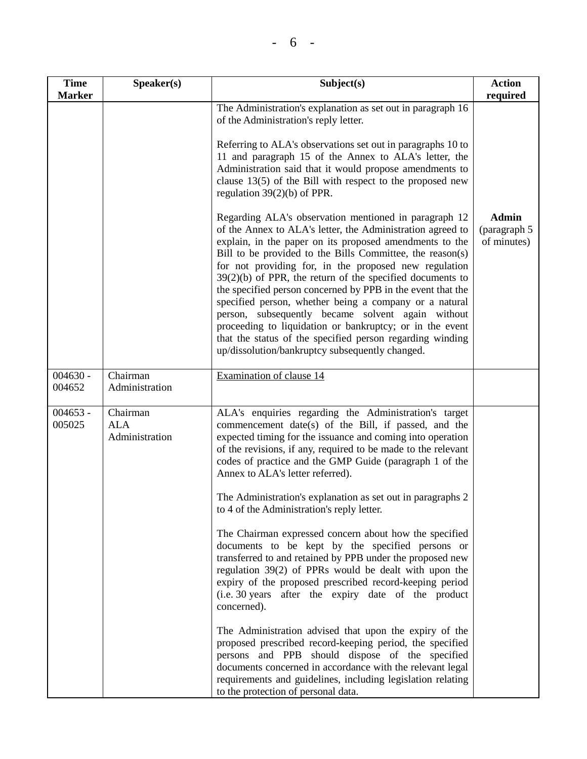| <b>Time</b><br><b>Marker</b> | Speaker(s)                               | Subject(s)                                                                                                                                                                                                                                                                                                                                                                                                                                                                                                                                                                                                                                                                                                                                                                                                                                                                              | <b>Action</b><br>required                   |
|------------------------------|------------------------------------------|-----------------------------------------------------------------------------------------------------------------------------------------------------------------------------------------------------------------------------------------------------------------------------------------------------------------------------------------------------------------------------------------------------------------------------------------------------------------------------------------------------------------------------------------------------------------------------------------------------------------------------------------------------------------------------------------------------------------------------------------------------------------------------------------------------------------------------------------------------------------------------------------|---------------------------------------------|
|                              |                                          | The Administration's explanation as set out in paragraph 16<br>of the Administration's reply letter.                                                                                                                                                                                                                                                                                                                                                                                                                                                                                                                                                                                                                                                                                                                                                                                    |                                             |
|                              |                                          | Referring to ALA's observations set out in paragraphs 10 to<br>11 and paragraph 15 of the Annex to ALA's letter, the<br>Administration said that it would propose amendments to<br>clause $13(5)$ of the Bill with respect to the proposed new<br>regulation $39(2)(b)$ of PPR.                                                                                                                                                                                                                                                                                                                                                                                                                                                                                                                                                                                                         |                                             |
|                              |                                          | Regarding ALA's observation mentioned in paragraph 12<br>of the Annex to ALA's letter, the Administration agreed to<br>explain, in the paper on its proposed amendments to the<br>Bill to be provided to the Bills Committee, the reason(s)<br>for not providing for, in the proposed new regulation<br>$39(2)(b)$ of PPR, the return of the specified documents to<br>the specified person concerned by PPB in the event that the<br>specified person, whether being a company or a natural<br>person, subsequently became solvent again without<br>proceeding to liquidation or bankruptcy; or in the event<br>that the status of the specified person regarding winding<br>up/dissolution/bankruptcy subsequently changed.                                                                                                                                                           | <b>Admin</b><br>(paragraph 5<br>of minutes) |
| $004630 -$<br>004652         | Chairman<br>Administration               | Examination of clause 14                                                                                                                                                                                                                                                                                                                                                                                                                                                                                                                                                                                                                                                                                                                                                                                                                                                                |                                             |
| $004653 -$<br>005025         | Chairman<br><b>ALA</b><br>Administration | ALA's enquiries regarding the Administration's target<br>commencement date(s) of the Bill, if passed, and the<br>expected timing for the issuance and coming into operation<br>of the revisions, if any, required to be made to the relevant<br>codes of practice and the GMP Guide (paragraph 1 of the<br>Annex to ALA's letter referred).<br>The Administration's explanation as set out in paragraphs 2<br>to 4 of the Administration's reply letter.<br>The Chairman expressed concern about how the specified<br>documents to be kept by the specified persons or<br>transferred to and retained by PPB under the proposed new<br>regulation 39(2) of PPRs would be dealt with upon the<br>expiry of the proposed prescribed record-keeping period<br>(i.e. 30 years after the expiry date of the product<br>concerned).<br>The Administration advised that upon the expiry of the |                                             |
|                              |                                          | proposed prescribed record-keeping period, the specified<br>persons and PPB should dispose of the specified<br>documents concerned in accordance with the relevant legal<br>requirements and guidelines, including legislation relating<br>to the protection of personal data.                                                                                                                                                                                                                                                                                                                                                                                                                                                                                                                                                                                                          |                                             |